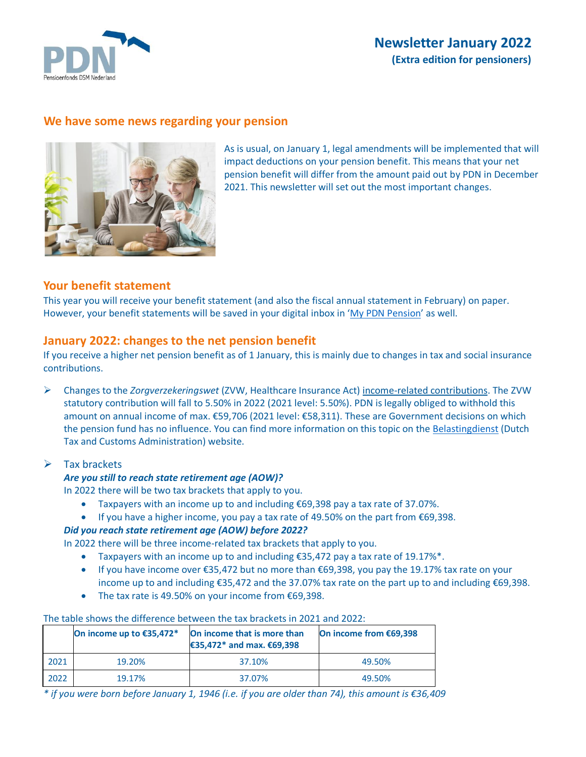

# **Newsletter January 2022 (Extra edition for pensioners)**

## **We have some news regarding your pension**



As is usual, on January 1, legal amendments will be implemented that will impact deductions on your pension benefit. This means that your net pension benefit will differ from the amount paid out by PDN in December 2021. This newsletter will set out the most important changes.

## **Your benefit statement**

This year you will receive your benefit statement (and also the fiscal annual statement in February) on paper. However, your benefit statements will be saved in your digital inbox in '[My PDN Pension](https://mijn.pdnpensioen.nl/)' as well.

## **January 2022: changes to the net pension benefit**

If you receive a higher net pension benefit as of 1 January, this is mainly due to changes in tax and social insurance contributions.

➢ Changes to the *Zorgverzekeringswet* (ZVW, Healthcare Insurance Act) income-related contributions. The ZVW statutory contribution will fall to 5.50% in 2022 (2021 level: 5.50%). PDN is legally obliged to withhold this amount on annual income of max. €59,706 (2021 level: €58,311). These are Government decisions on which the pension fund has no influence. You can find more information on this topic on the [Belastingdienst](https://www.belastingdienst.nl/wps/wcm/connect/en/individuals/individuals) (Dutch Tax and Customs Administration) website.

#### $\triangleright$  Tax brackets

#### *Are you still to reach state retirement age (AOW)?*

In 2022 there will be two tax brackets that apply to you.

- Taxpayers with an income up to and including €69,398 pay a tax rate of 37.07%.
- If you have a higher income, you pay a tax rate of 49.50% on the part from €69,398.

#### *Did you reach state retirement age (AOW) before 2022?*

In 2022 there will be three income-related tax brackets that apply to you.

- Taxpayers with an income up to and including  $\epsilon$ 35,472 pay a tax rate of 19.17%\*.
- If you have income over €35,472 but no more than €69,398, you pay the 19.17% tax rate on your income up to and including €35,472 and the 37.07% tax rate on the part up to and including €69,398.
- The tax rate is 49.50% on your income from €69,398.

|--|

|      | On income up to €35,472* | On income that is more than<br>€35,472* and max. €69,398 | On income from €69,398 |
|------|--------------------------|----------------------------------------------------------|------------------------|
| 2021 | 19.20%                   | 37.10%                                                   | 49.50%                 |
| 2022 | 19.17%                   | 37.07%                                                   | 49.50%                 |

*\* if you were born before January 1, 1946 (i.e. if you are older than 74), this amount is €36,409*